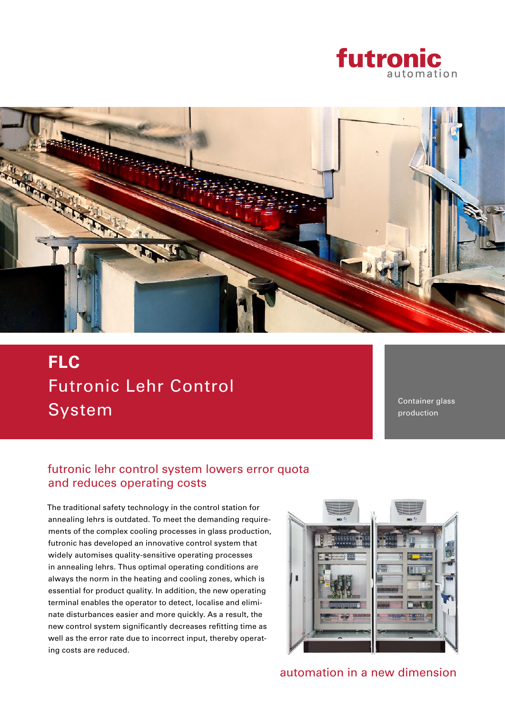



# Futronic Lehr Control System **FLC**

Container glass production

### futronic lehr control system lowers error quota and reduces operating costs

The traditional safety technology in the control station for annealing lehrs is outdated. To meet the demanding requirements of the complex cooling processes in glass production, futronic has developed an innovative control system that widely automises quality-sensitive operating processes in annealing lehrs. Thus optimal operating conditions are always the norm in the heating and cooling zones, which is essential for product quality. In addition, the new operating terminal enables the operator to detect, localise and eliminate disturbances easier and more quickly. As a result, the new control system significantly decreases refitting time as well as the error rate due to incorrect input, thereby operating costs are reduced.



automation in a new dimension